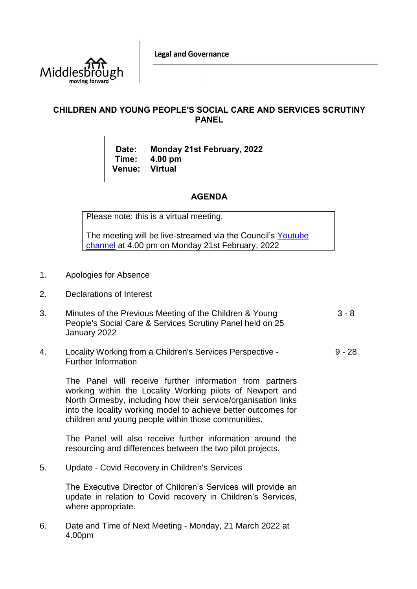

## **CHILDREN AND YOUNG PEOPLE'S SOCIAL CARE AND SERVICES SCRUTINY PANEL**

**Date: Monday 21st February, 2022 Time: 4.00 pm Venue: Virtual**

## **AGENDA**

Please note: this is a virtual meeting.

The meeting will be live-streamed via the Council's [Youtube](https://www.youtube.com/user/middlesboroughcouncil)  [channel](https://www.youtube.com/user/middlesboroughcouncil) at 4.00 pm on Monday 21st February, 2022

- 1. Apologies for Absence
- 2. Declarations of Interest
- 3. Minutes of the Previous Meeting of the Children & Young People's Social Care & Services Scrutiny Panel held on 25 January 2022 3 - 8
- 4. Locality Working from a Children's Services Perspective Further Information 9 - 28

The Panel will receive further information from partners working within the Locality Working pilots of Newport and North Ormesby, including how their service/organisation links into the locality working model to achieve better outcomes for children and young people within those communities.

The Panel will also receive further information around the resourcing and differences between the two pilot projects.

5. Update - Covid Recovery in Children's Services

The Executive Director of Children's Services will provide an update in relation to Covid recovery in Children's Services, where appropriate.

6. Date and Time of Next Meeting - Monday, 21 March 2022 at 4.00pm